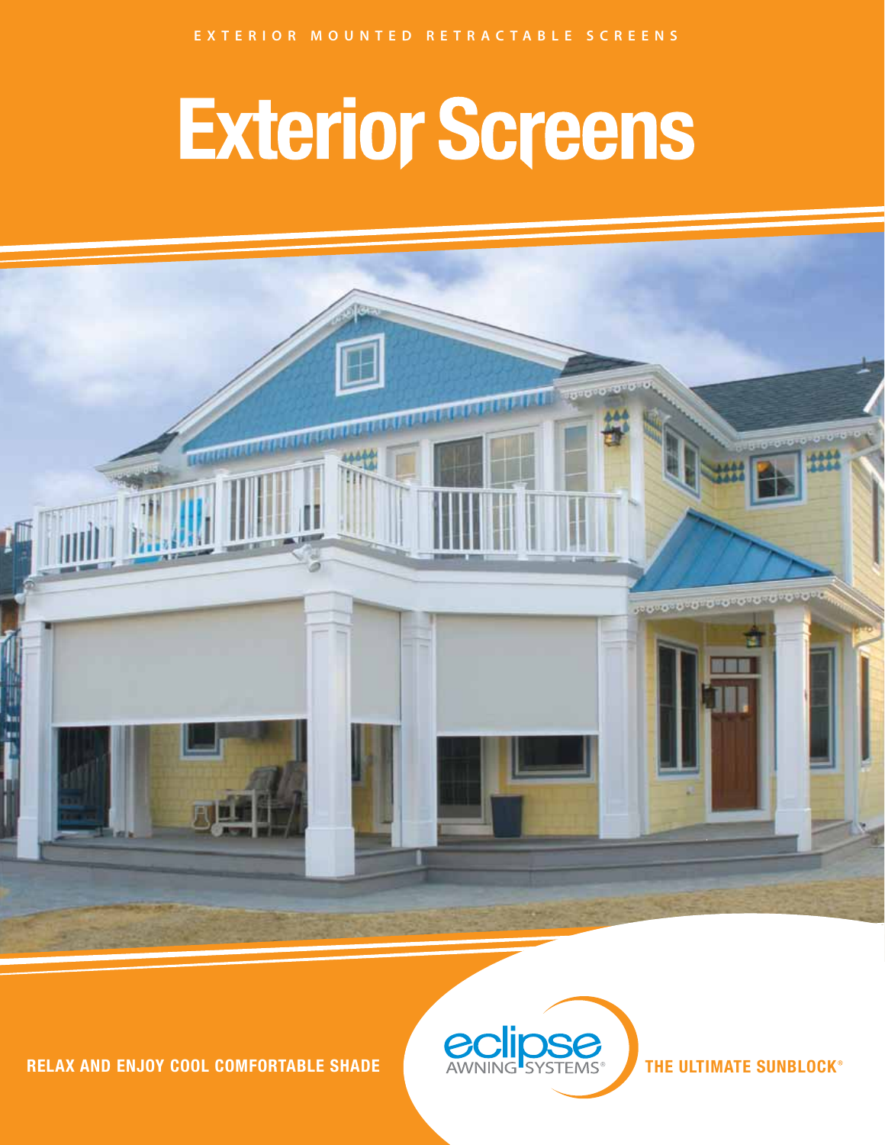## **Exterior Screens**



**RELAX AND ENJOY COOL COMFORTABLE SHADE**



**THE ULTIMATE SUNBLOCK**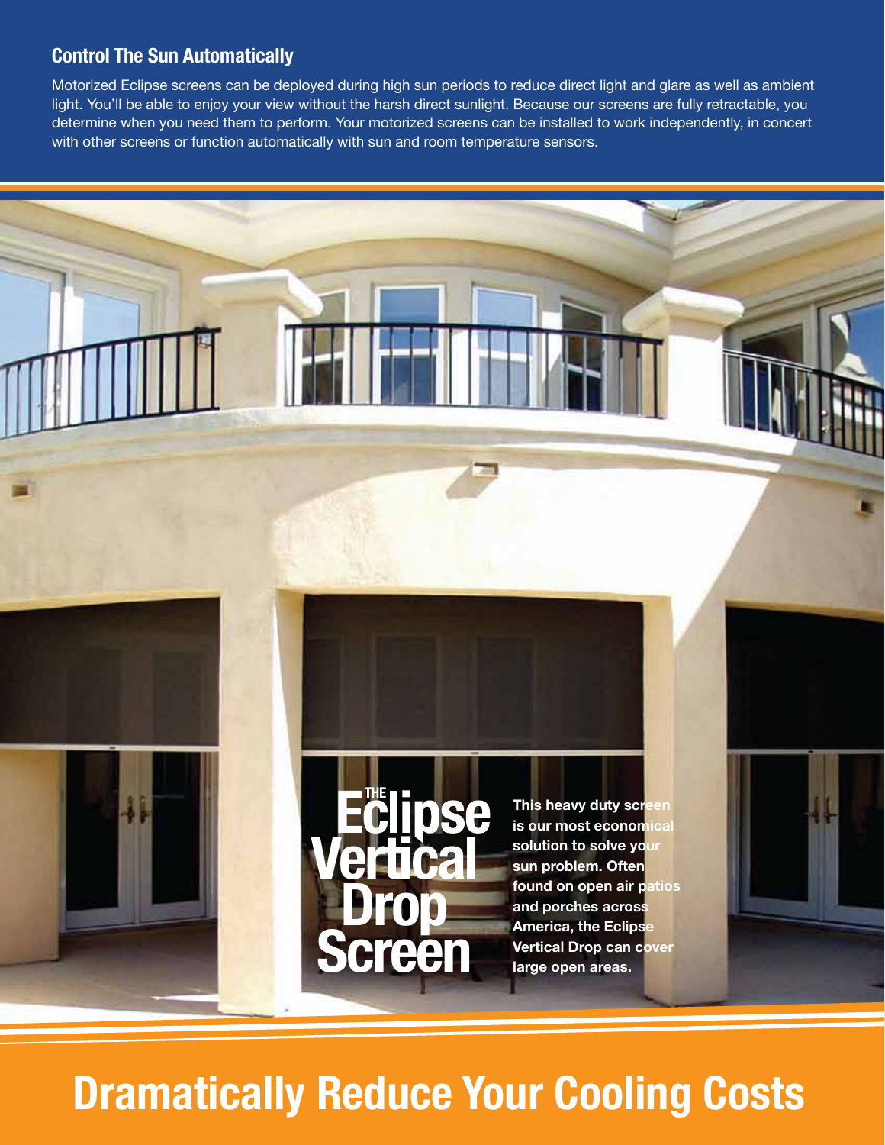#### **Control The Sun Automatically**

Motorized Eclipse screens can be deployed during high sun periods to reduce direct light and glare as well as ambient light. You'll be able to enjoy your view without the harsh direct sunlight. Because our screens are fully retractable, you determine when you need them to perform. Your motorized screens can be installed to work independently, in concert with other screens or function automatically with sun and room temperature sensors.





**This heavy duty screen is our most economical solution to solve your sun problem. Often found on open air patios and porches across America, the Eclipse Vertical Drop can cover large open areas.**

### **Dramatically Reduce Your Cooling Costs**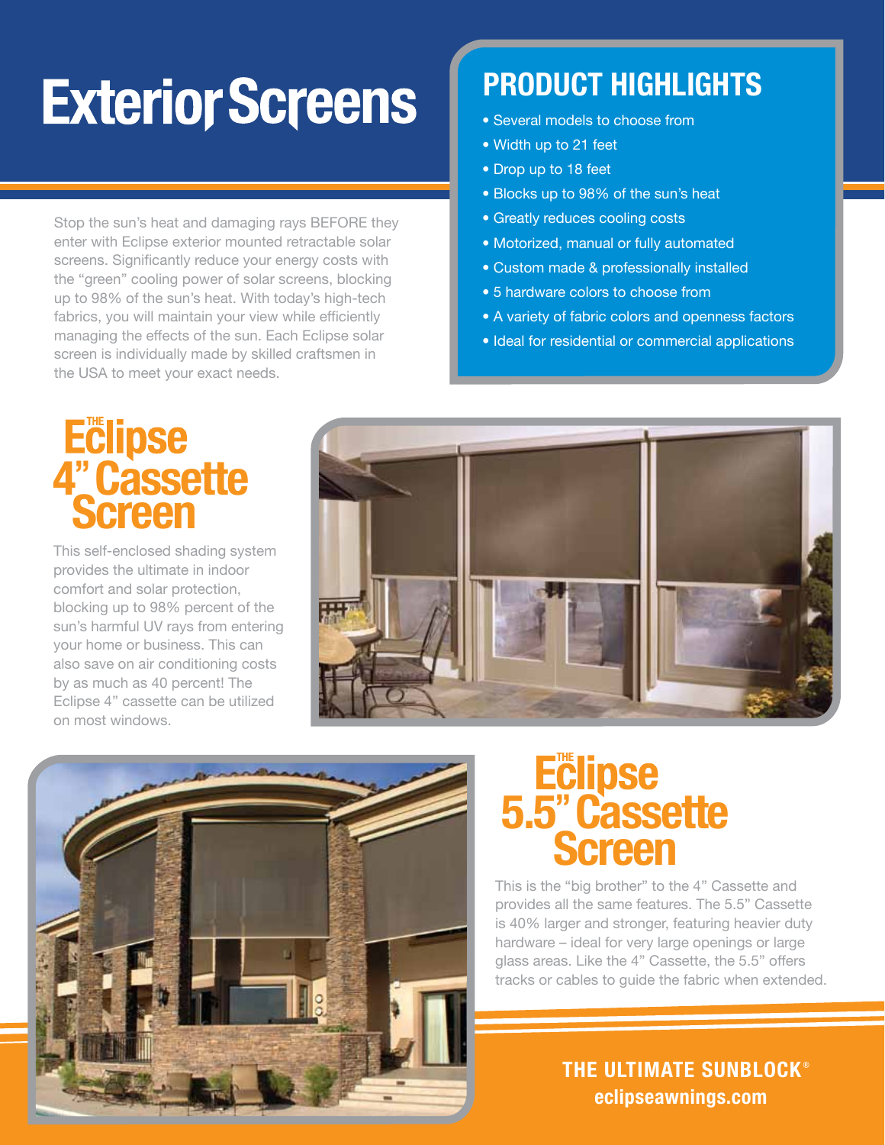## **Exterior Screens**

Stop the sun's heat and damaging rays BEFORE they enter with Eclipse exterior mounted retractable solar screens. Significantly reduce your energy costs with the "green" cooling power of solar screens, blocking up to 98% of the sun's heat. With today's high-tech fabrics, you will maintain your view while efficiently managing the effects of the sun. Each Eclipse solar screen is individually made by skilled craftsmen in the USA to meet your exact needs.

### **PRODUCT HIGHLIGHTS**

- Several models to choose from
- Width up to 21 feet
- Drop up to 18 feet
- Blocks up to 98% of the sun's heat
- Greatly reduces cooling costs
- Motorized, manual or fully automated
- Custom made & professionally installed
- 5 hardware colors to choose from
- A variety of fabric colors and openness factors
- Ideal for residential or commercial applications

# **4"Cassette Screen**

This self-enclosed shading system provides the ultimate in indoor comfort and solar protection, blocking up to 98% percent of the sun's harmful UV rays from entering your home or business. This can also save on air conditioning costs by as much as 40 percent! The Eclipse 4" cassette can be utilized on most windows.





## **5.5"Cassette Screen**

This is the "big brother" to the 4" Cassette and provides all the same features. The 5.5" Cassette is 40% larger and stronger, featuring heavier duty hardware – ideal for very large openings or large glass areas. Like the 4" Cassette, the 5.5" offers tracks or cables to guide the fabric when extended.

> **eclipseawnings.com THE ULTIMATE SUNBLOCK**